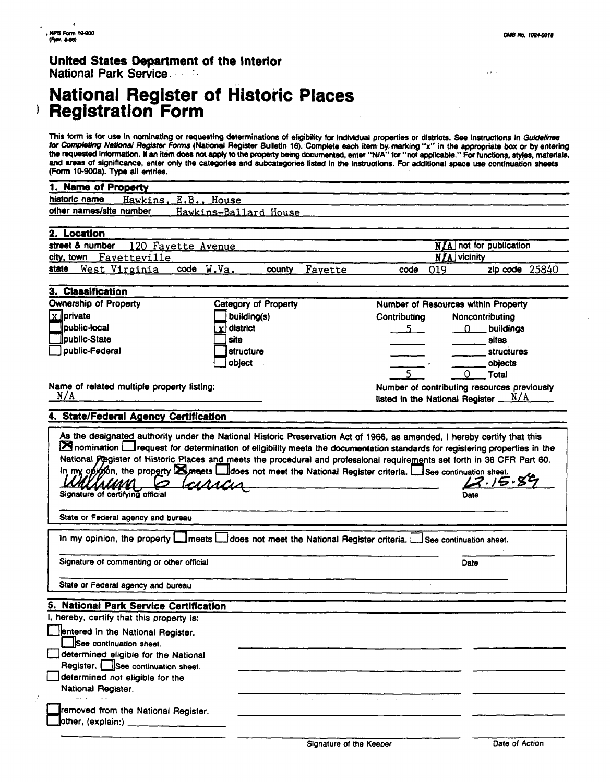$\mathcal{L} \leftarrow \mathcal{L}$ 

#### **United States Department of the Interior National Park Service.**

## **National Register of Historic Registration Form**

This form is for use in nominating or requesting determinations of eligibility for individual properties or districts. See instructions in Guidelines for Completing National Register Forms (National Register Bulletin 16). Complete each item by marking "x" in the appropriate box or by entering the requested inhmatim. If an itam **does** not **epply** to the propmy **being documented, enter "WA" for "nat appl'i." For functions, styks, materials, and ereas** of significance, enter only the categories and subcategories listed in the instructions. For additional space use continuation sheets (Form **10-900a).** Type all entries.

| 1. Name of Property                             |                                               |                                            |                                             |
|-------------------------------------------------|-----------------------------------------------|--------------------------------------------|---------------------------------------------|
| historic name<br>Hawkins,<br>E.B.,              | House                                         |                                            |                                             |
| other names/site number                         | Hawkins-Ballard House                         |                                            |                                             |
|                                                 |                                               |                                            |                                             |
| 2. Location                                     |                                               |                                            |                                             |
| street & number<br>120 Fayette Avenue           |                                               |                                            | <b>N/A</b> not for publication              |
| Fayetteville<br>city, town                      |                                               |                                            | <b>NZA</b> vicinity                         |
| code W.Va.<br><u>West Virginia</u><br>state     | county<br>Fayette                             | 019<br>code                                | zip code 25840                              |
| 3. Classification                               |                                               |                                            |                                             |
| Ownership of Property                           | Category of Property                          | <b>Number of Resources within Property</b> |                                             |
| $x$ private                                     | building(s)                                   | Contributing                               | Noncontributing                             |
| <b>public-local</b>                             | $x$ district                                  | $5 -$                                      | $0$ buildings                               |
| <b>I</b> public-State                           | site                                          |                                            | sites                                       |
| public-Federal                                  | <b>Istructure</b>                             |                                            | <b>structures</b>                           |
|                                                 | object                                        |                                            | objects                                     |
|                                                 |                                               | 5                                          | 0<br>Total                                  |
| Name of related multiple property listing:      |                                               |                                            | Number of contributing resources previously |
| N/A                                             |                                               | listed in the National Register _          | N/A                                         |
|                                                 |                                               |                                            |                                             |
| 4. State/Federal Agency Certification           |                                               |                                            |                                             |
| MARCUS<br>Signature of certifying official      |                                               |                                            | 2.15.85<br>Date                             |
| State or Federal agency and bureau              |                                               |                                            |                                             |
| In my opinion, the property $\Box$ meets $\Box$ | does not meet the National Register criteria. |                                            | See continuation sheet.                     |
| Signature of commenting or other official       |                                               |                                            | Date                                        |
| State or Federal agency and bureau              |                                               |                                            |                                             |
| 5. National Park Service Certification          |                                               |                                            |                                             |
| I, hereby, certify that this property is:       |                                               |                                            |                                             |
| entered in the National Register.               |                                               |                                            |                                             |
| See continuation sheet.                         |                                               |                                            |                                             |
| determined eligible for the National            |                                               |                                            |                                             |
| Register. See continuation sheet.               |                                               |                                            |                                             |
| determined not eligible for the                 |                                               |                                            |                                             |
| National Register.                              |                                               |                                            |                                             |
|                                                 |                                               |                                            |                                             |
| Fremoved from the National Register.            |                                               |                                            |                                             |
|                                                 |                                               |                                            |                                             |
|                                                 |                                               |                                            |                                             |
|                                                 |                                               | Signature of the Keeper                    | Date of Action                              |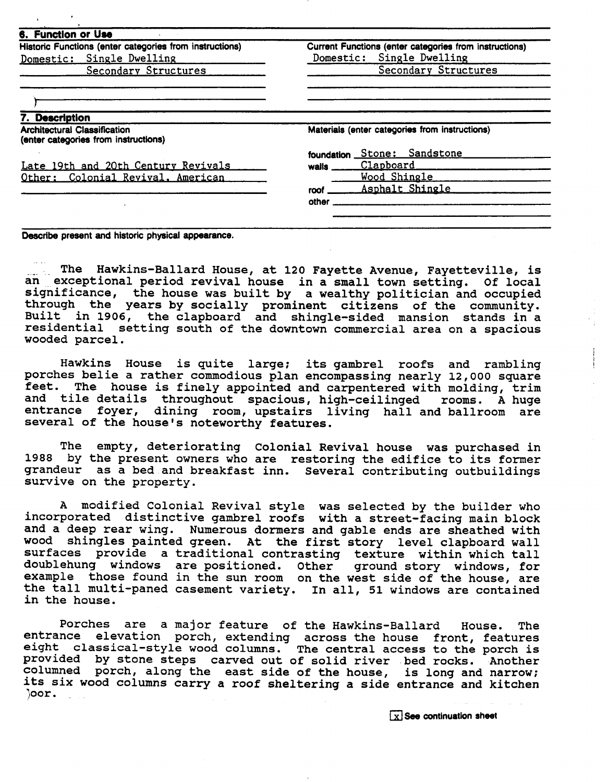| Historic Functions (enter categories from instructions)                     | Current Functions (enter categories from instructions)<br>Single Dwelling<br>Domestic:<br>Secondary Structures |  |
|-----------------------------------------------------------------------------|----------------------------------------------------------------------------------------------------------------|--|
| Domestic: Single Dwelling                                                   |                                                                                                                |  |
| Secondary Structures                                                        |                                                                                                                |  |
|                                                                             |                                                                                                                |  |
| 7. Description                                                              |                                                                                                                |  |
| <b>Architectural Classification</b><br>(enter categories from instructions) | Materials (enter categories from instructions)                                                                 |  |
|                                                                             | Stone: Sandstone<br>foundation                                                                                 |  |
| Late 19th and 20th Century Revivals                                         | Clapboard<br>walls                                                                                             |  |
| Other: Colonial Revival, American                                           | Wood Shingle                                                                                                   |  |
|                                                                             | Asphalt Shingle<br>roof                                                                                        |  |
|                                                                             | other                                                                                                          |  |

**Describe present and historic physical appearance.** 

...... The Hawkins-Ballard House, at 120 Fayette Avenue, Fayetteville, is<br>an exceptional period revival house, in a small town setting. Of local exceptional period revival house in a small town setting. Of local significance, the house was built by a wealthy politician and occupied through the years by socially prominent citizens of the community. Built in 1906, the clapboard and shingle-sided mansion stands in a residential setting south of the downtown commercial area on a spacious wooded parcel.

Hawkins House is quite large; its gambrel roofs and rambling porches belie a rather commodious plan encompassing nearly 12,000 square feet. The house is finely appointed and carpentered with molding, trim and tile details throughout spacious, high-ceilinged rooms. A huge entrance foyer, dining room, upstairs living hall and ballroom are several of the house's noteworthy features.

The empty, deteriorating colonial Revival house was purchased in 1988 by the present owners who are restoring the edifice to its former grandeur as a bed and breakfast inn. Several contributing outbuildings survive on the property.

A modified Colonial Revival style was selected by the builder who incorporated distinctive gambrel roofs with a street-facing main block and a deep rear wing. Numerous dormers and gable ends are sheathed with wood shingles painted green. At the first story level clapboard wall surfaces provide a traditional contrasting texture within which tall doublehung windows are positioned. Other ground story windows, for example those found in the sun room on the west side of the house, are the tall multi-paned casement variety. In all, 51 windows are contained in the house.

Porches are a major feature of the Hawkins-Ballard House. The entrance elevation porch, extending across the house front, features eight classical-style wood columns. The central access to the porch is provided by stone steps carved out of solid river bed rocks. Another columned porch, along the east side of the house, is long and narrow; its six wood columns carry a roof sheltering a side entrance and kitchen )oor .

**X** See continuation sheet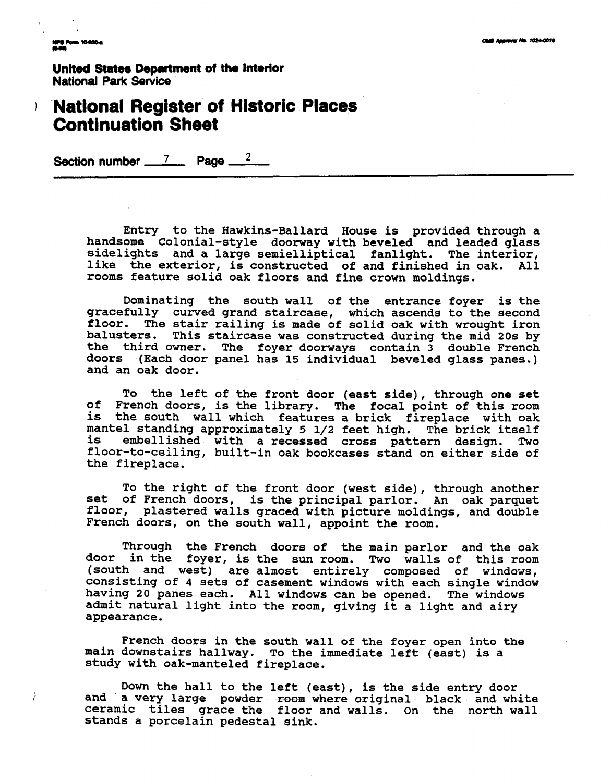.<br>NPS Form 10400-a<br>(0-00)

 $\big)$ 

 $\overline{t}$ 

**Unlted States Department of the Interior National Park Service** 

## **'National Register of Historic Places Continuation Sheet**

**Section number 7 Page <sup>2</sup>**

**Entry to the Hawkins-Ballard House is provided through a handsome Colonial-style doorway with beveled and leaded glass sidelights and a large semielliptical fanlight. The interior, like the exterior, is constructed of and finished in oak. All rooms feature solid oak floors and fine crown moldings.** 

**Dominating the south wall of the entrance foyer is the gracefully curved grand staircase, which ascends to the second floor. The stair railing is made of solid oak with wrought iron balusters. This staircase was constructed during the mid 20s by the third owner. The foyer doorways contain 3 double French doors (Each door panel has 15 individual beveled glass panes.) and an oak door.** 

**To the left of the front door (east side), through one set of French doors, is the library. The focal point of this room is the south wall which features a brick fireplace with oak mantel standing approximately 5 1/2 feet high. The brick itself is embellished with a recessed cross pattern design. Two floor-to-ceiling, built-in oak bookcases stand on either side of the fireplace.** 

**To the right of the front door (west side), through another set of French doors, is the principal parlor. An oak parquet floor, plastered walls graced with picture moldings, and double French doors, on the south wall, appoint the room.** 

**Through the French doors of the main parlor and the oak door in the foyer, is the sun room. Two walls of this room (south and west) are almost entirely composed of windows, consisting of 4 sets of casement windows with each single window having 20 panes each. All windows can be opened. The windows admit natural light into the room, giving it a light and airy appearance.** 

**French doors in the south wall of the foyer open into the main downstairs hallway. To the immediate left (east) is a study with oak-manteled fireplace.** 

**Down the hall to the left (east), is the side entry door**  form the narr co the reft (east), is the side entry door **ceramic tiles grace the floor and walls. On the north wall stands a porcelain pedestal sink.**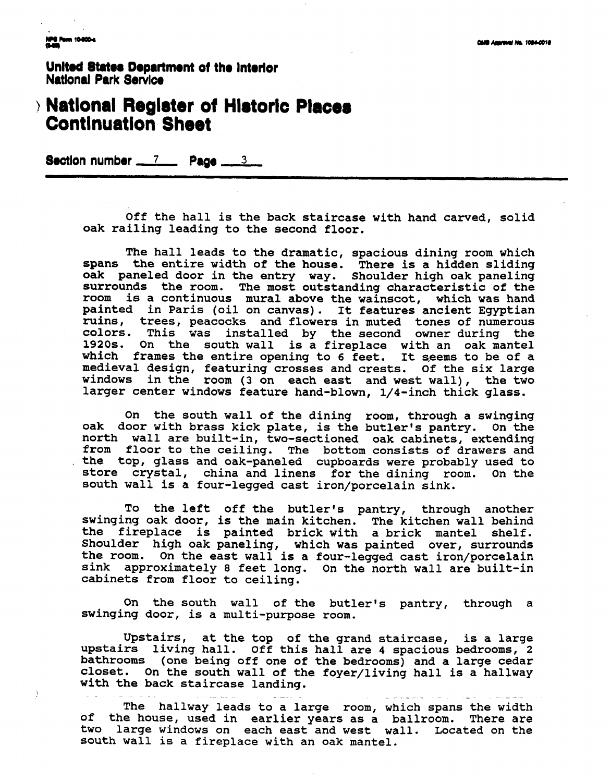Ĵ

United States Department of the Interlor **Natlonal Park Service** 

# **Natlonal Reglater ot Hldorlc Places Contlnuatlon Sheet -Ion number 7 Page** - **<sup>3</sup>**

Off the hall is the back staircase with hand carved, solid oak railing leading to the second floor.

The hall leads to the dramatic, spacious dining room which spans the entire width of the house. There is a hidden sliding oak paneled door in the entry way. Shoulder high oak paneling surrounds the room. The most outstanding characteristic of the room is a continuous mural above the wainscot, which was hand painted in Paris (oil on canvas). It features ancient Egyptian ruins, trees, peacocks and flowers in muted tones of numerous colors. This was installed by the second owner during the 1920s. On the south wall is a fireplace with an oak mantel which frames the entire opening to 6 feet. It seems to be of a medieval design, featuring crosses and crests. Of the six large windows in the room (3 on each east and west wall), the two larger center windows feature hand-blown, 1/4-inch thick glass.

On the south wall of the dining room, through a swinging oak door with brass kick plate, is the butler's pantry. On the north wall are built-in, two-sectioned oak cabinets, extending from floor to the ceiling. The bottom consists of drawers and the top, glass and oak-paneled cupboards were probably used to store crystal, china and linens for the dining room. On the south wall is a four-legged cast iron/porcelain sink.

To the left off the butler's pantry, through another swinging oak door, is the main kitchen. The kitchen wall behind the fireplace is painted brick with a brick mantel shelf. Shoulder high oak paneling, which was painted over, surrounds the room. On the east wall is a four-legged cast iron/porcelain sink approximately 8 feet long. On the north wall are built-in cabinets from floor to ceiling.

On the south wall of the butler's pantry, through a swinging door, is a multi-purpose room.

Upstairs, at the top of the grand staircase, is a large upstairs living hall. Off this hall are **4** spacious bedrooms, 2 bathrooms (one being off one of the bedrooms) and a large cedar closet. On the south wall of the foyer/living hall is a hallway with the back staircase landing.

The hallway leads to a large room, which spans the width of the house, used in earlier years as a ballroom. There are two large windows on each east and west wall. Located on the south wall is a fireplace with an oak mantel.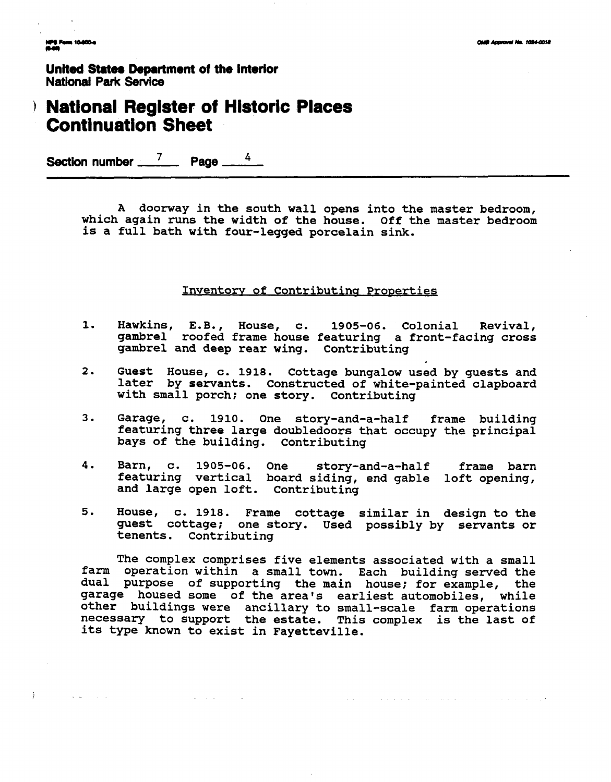NPS Form 10-800-4<br>Musik

 $\mathcal{E}$ 

 $\mathbf{I}$ 

 $\Delta\omega$  and  $\omega$  ,  $\omega$  ,  $\omega$ 

**United States Department of the Interior National Park Service** 

## **National Register of Historic Places Continuation Sheet**

Section number  $\frac{7}{4}$  Page <u>**4**</u>

**A doorway in the south wall opens into the master bedroom, which again runs the width of the house. Off the master bedroom is a full bath with four-legged porcelain sink.** 

#### **Inventory of Contributing Properties**

- **1.**  Hawkins, E.B., House, c. 1905-06. Colonial Revival, **gambrel roofed frame house featuring a front-facing cross gambrel and deep rear wing. Contributing**
- **2. Guest House, c. 1918. Cottage bungalow used by guests and later by servants. Constructed of white-painted clapboard with small porch; one story. Contributing**
- **3. Garage, c. 1910. One story-and-a-half frame building featuring three large doubledoors that occupy the principal bays of the building. Contributing**
- **4. Barn, c. 1905-06. One story-and-a-half frame barn featuring vertical board siding, end gable loft opening, and large open loft. Contributing**
- **5. House, c. 1918. Frame cottage similar in design to the guest cottage; one story. Used possibly by servants or tenents. Contributing**

**farm operation within a small town. Each buildinq served the dual purpose of supporting the main house; for example, the The complex comprises five elements associated with a small garage housed some of the area's earliest automobiles, while other buildings were ancillary to small-scale farm operations necessary to support the estate. This complex is the last of its type known to exist in Fayetteville.** 

 $\Delta \sim 10^{-10}$ 

. As we can see that the contract of the contract  $\alpha$  is a second contract of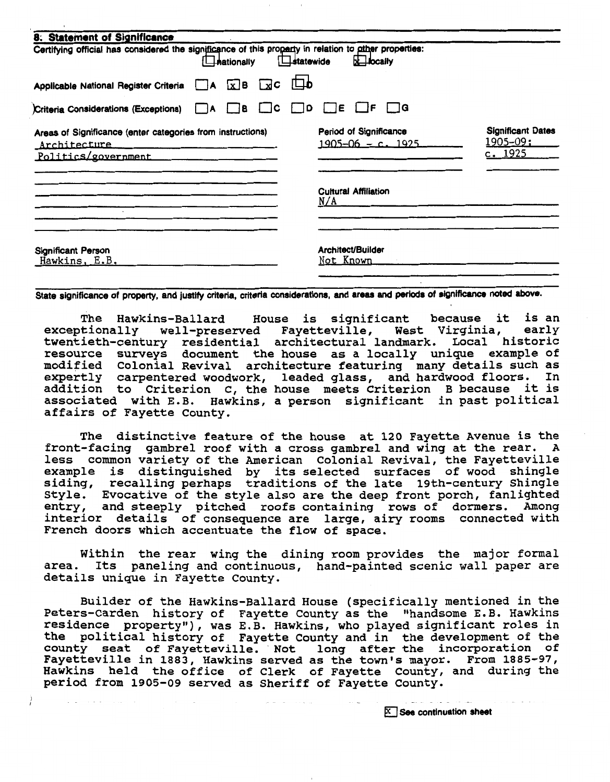| 8. Statement of Significance                                                                                                                                                                                                                                                                                       |                                                                                                             |
|--------------------------------------------------------------------------------------------------------------------------------------------------------------------------------------------------------------------------------------------------------------------------------------------------------------------|-------------------------------------------------------------------------------------------------------------|
| Certifying official has considered the significance of this property in relation to other properties:<br>$\Box$ statewide<br><b>Hationally</b>                                                                                                                                                                     | $\overline{\mathbf{x}}$ ibcaily                                                                             |
| ந<br>Applicable National Register Criteria $A \times B$ $\infty$ C                                                                                                                                                                                                                                                 |                                                                                                             |
| Criteria Considerations (Exceptions) A B C C D D E F AG                                                                                                                                                                                                                                                            |                                                                                                             |
| Areas of Significance (enter categories from instructions)<br>Architecture entrance and the contract of the second state of the second state of the second state of the second state of the second state of the second state of the second state of the second state of the second state of<br>Politics/government | <b>Significant Dates</b><br>Period of Significance<br><u> 1905–09;</u><br>$1905 - 06 - c$ , 1925<br>c. 1925 |
|                                                                                                                                                                                                                                                                                                                    | <b>Cultural Affiliation</b><br>N/A                                                                          |
| Significant Person<br>Hawkins, E.B.                                                                                                                                                                                                                                                                                | Architect/Builder<br>Not Known                                                                              |

State significance of property, and justify criteria, criteria considerations, and areas and periods of significance noted above.

The Hawkins-Ballard House is significant because it is an<br>tionally well-preserved Fayetteville, West Virginia, early exceptionally well-preserved Favetteville, West Virginia, early twentieth-century residential architectural landmark. Local historic resource surveys document the house as a locally unique example of modified Colonial Revival architecture featuring many details such as expertly carpentered woodwork, leaded glass, and hardwood floors. In addition to Criterion C, the house meets criterion B because it is associated with E.B. Hawkins, a person significant in past political affairs of Fayette County.

The distinctive feature of the house at 120 Fayette Avenue is the front-facing gambrel roof with a cross gambrel and wing at the rear. **A**  less common variety of the American Colonial Revival, the Fayetteville example is distinguished by its selected surfaces of wood shingle siding, recalling perhaps traditions of the late 19th-century shingle Style. Evocative of the style also are the deep front porch, fanlighted entry, and steeply pitched roofs containing rows of dormers. Among interior details of consequence are large, airy rooms connected with French doors which accentuate the flow of space.

Within the rear wing the dining room provides the major formal area. Its paneling and continuous, hand-painted scenic wall paper are details unique in Fayette County.

Builder of the Hawkins-Ballard House (specifically mentioned in the Peters-Carden history of Fayette County as the "handsome E.B. Hawkins residence property"), was E.B. Hawkins, who played significant roles in the political history of Fayette County and in the development of the county seat of Fayetteville. Not long after the incorporation of Fayetteville in **1883,** Hawkins served as the town's mayor. From 1885-97, Hawkins held the office of Clerk of Fayette County, and during the period from 1905-09 served as Sheriff of Fayette County.

 $\overline{X}$  See continuation sheet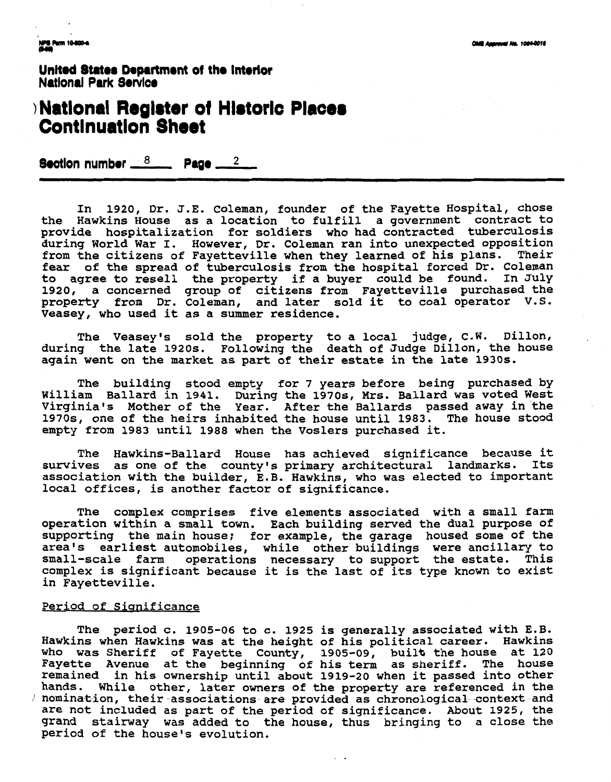**United States Department of the Interior National Park Service** 

## <sup>1</sup>**Natlonal Reglater ot Hlatorlc Contlnuatlon Sheet**

Section number  $\frac{8}{2}$  Page  $\frac{2}{2}$ 

**In 1920, Dr. J.E. Coleman, founder of the Fayette Hospital, chose the Hawkins House as a location to fulfill a government contract to provide hospitalization for soldiers who had contracted tuberculosis during World War I. However, Dr. Coleman ran into unexpected opposition from the citizens of Fayetteville when they learned of his plans. Their fear of the spread of tuberculosis from the hospital forced Dr. Coleman to agree to resell the property if a buyer could be found. In July 1920, a concerned group of citizens from Fayetteville purchased the property from Dr. Coleman, and later sold it to coal operator V.S. Veasey, who used it as a summer residence.** 

The Veasey's sold the property to a local judge, C.W. Dillon, **during the late 1920s. Following the death of Judge Dillon, the house again went on the market as part of their estate in the late 1930s.** 

**The building stood empty for 7 years before being purchased by William Ballard in 1941. During the 1970s, Mrs. Ballard was voted West Virginia's Mother of the Year. After the Ballards passed away in the 1970s, one of the heirs inhabited the house until 1983. The house stood empty from 1983 until 1988 when the Voslers purchased it.** 

The Hawkins-Ballard House has achieved significance because it **survives as one of the county's primary architectural landmarks. Its association with the builder, E.B. Hawkins, who was elected to important local offices, is another factor of significance.** 

**The complex comprises five elements associated with a small farm operation within a small town. Each building served the dual purpose of supporting the main house; for example, the garage housed some of the area's earliest automobiles, while other buildings were ancillary to**  small-scale farm operations necessary to support the estate. This **complex is significant because it is the last of its type known to exist in Fayetteville.** 

#### **Period of Sianif icance**

**The period c. 1905-06 to c. 1925 is generally associated with E.B. Hawkins when Hawkins was at the height of his political career. Hawkins who was Sheriff of Fayette County, 1905-09, built the house at 120 Fayette Avenue at the beginning of his term as sheriff. The house remained in his ownership until about 1919-20 when it passed into other hands. While other, later owners of the property are referenced in the** *I* nomination, their associations are provided as chronological context and **are not included as part of the period of significance. About 1925, the grand stairway was added to the house, thus bringing to a close the period of the house's evolution.**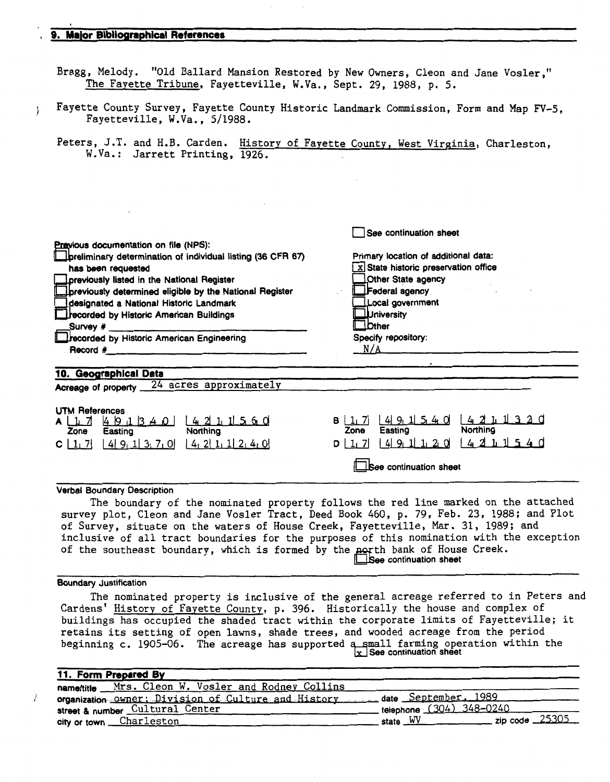#### . **9. Malor Blblloqmphlcal References**

Bragg, Melody. "Old Ballard Mansion Restored by New Owners, Cleon and Jane Vosler," The Fayette Tribune, Fayetteville, W.Va., Sept. 29, 1988, p. 5.

**<sup>j</sup>**Fayette County Survey, Fayette County Historic Landmark Commission, Form and Map FV-5, Fayetteville, W.Va., 5/1988.

Peters, J.T. and H.B. Carden. History of Fayette County, West Virginia, Charleston, W.Va.: Jarrett Printing, 1926.

| Previous documentation on file (NPS):<br>preliminary determination of individual listing (36 CFR 67)<br>has been requested<br>previously listed in the National Register<br>previously determined eligible by the National Register<br>designated a National Historic Landmark<br>recorded by Historic American Buildings<br>Survey $#$<br>recorded by Historic American Engineering<br>$\mathsf{Record}$ # $\qquad \qquad \blacksquare$ | See continuation sheet<br>Primary location of additional data:<br>$x$ State historic preservation office<br>Other State agency<br>Federal agency<br>Local government<br><b>University</b><br><b>Other</b><br>Specify repository:<br>N/A |
|------------------------------------------------------------------------------------------------------------------------------------------------------------------------------------------------------------------------------------------------------------------------------------------------------------------------------------------------------------------------------------------------------------------------------------------|-----------------------------------------------------------------------------------------------------------------------------------------------------------------------------------------------------------------------------------------|
| 10. Geographical Data<br>Acreage of property 24 acres approximately                                                                                                                                                                                                                                                                                                                                                                      |                                                                                                                                                                                                                                         |
| <b>UTM References</b><br>Northing<br>Easting<br>Zone<br>$\left[ 4 \right] 9$ , 1 $\left[ 3$ , 7, 0 $\left[ 4$ , 2 $\left[ 1, 1 \right] 2$ , 4, 0<br>$C \left[ \begin{array}{c} 1 \\ 1 \end{array} \right]$                                                                                                                                                                                                                               | $1491540$ $4211330$<br>$B$   1, 7<br><b>Northing</b><br>Easting<br>Zone<br>4211540<br>$ 4 9$ , 1 1 2 0<br>$D$ $1, 7$<br><b>See continuation sheet</b>                                                                                   |

#### Verbal Boundary Description

The boundary of the nominated property follows the red line marked on the attached survey plot, Cleon and Jane Vosler Tract, Deed Book 460, p. 79, Feb. 23, 1988; and Plot of Survey, situate on the waters of House Creek, Fayetteville, Mar. 31, 1989; and inclusive of all tract boundaries for the purposes of this nomination with the exception of the southeast boundary, which is formed by the north bank of House Creek. See continuation sheet

#### Boundary Justification

The nominated property is inclusive of the general acreage referred to in Peters and Cardens' History of Fayette County, p. 396. Historically the house and complex of buildings has occupied the shaded tract within the corporate limits of Fayetteville; it retains its setting of open lawns, shade trees, and wooded acreage from the period beginning c. 1905-06. The acreage has supported a small farming operation within the  $\frac{1}{x}$  See continuation sheet

| 11. Form Prepared By                                                     |                                    |
|--------------------------------------------------------------------------|------------------------------------|
| name/title __ Mrs. Cleon W. Vosler_and_Rodney Collins                    |                                    |
| organization owner; Division of Culture and History date September, 1989 |                                    |
| street & number Cultural Center                                          | telephone (304) 348-0240           |
| city or town Charleston                                                  | state $\frac{W}{W}$ zip code 25305 |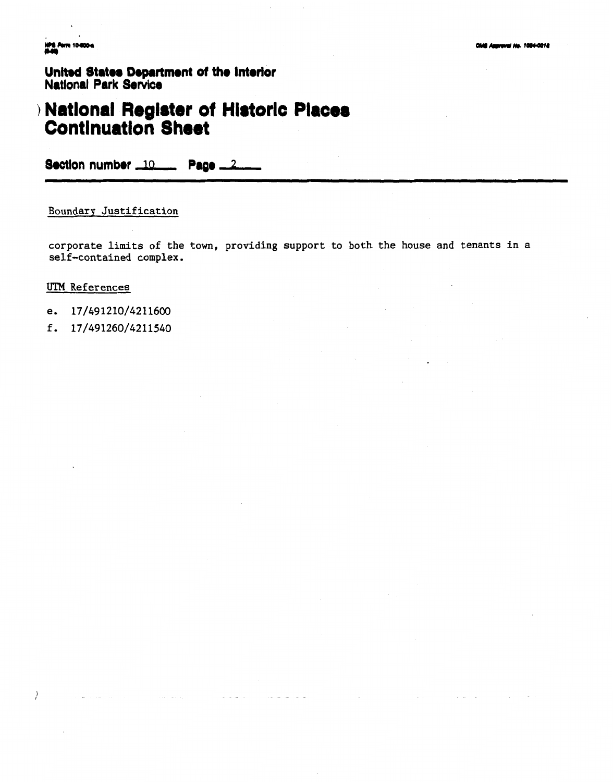**NPS Perm 104** 

United States Department of the Interior **National Park Service** 

## **National Register of Historic Places**<br>Continuation Sheet

Section number 10 Page 2

Boundary Justification

corporate limits of the town, providing support to both the house and tenants in a self-contained complex.

 $\sim$   $\sim$   $\sim$   $\sim$ 

 $\sim$   $\sim$   $\sim$ 

#### **UTM** References

 $\left\{\right.$ 

- e. 17/491210/4211600
- f. 17/491260/4211540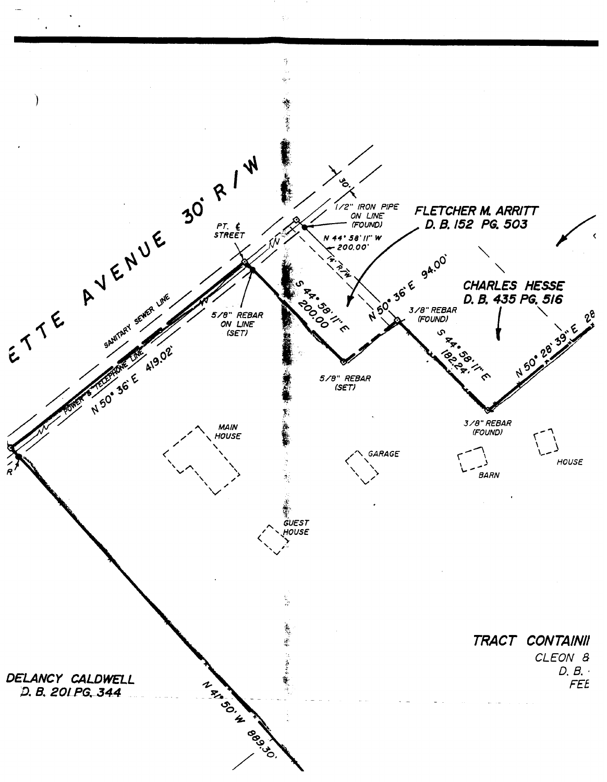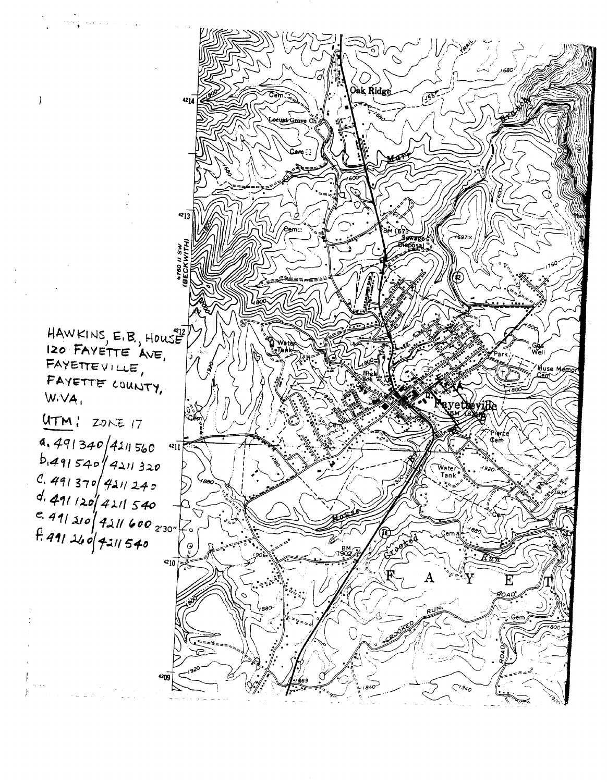